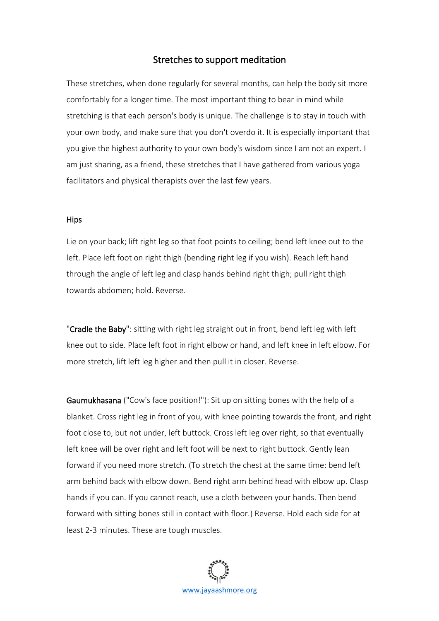## Stretches to support meditation

These stretches, when done regularly for several months, can help the body sit more comfortably for a longer time. The most important thing to bear in mind while stretching is that each person's body is unique. The challenge is to stay in touch with your own body, and make sure that you don't overdo it. It is especially important that you give the highest authority to your own body's wisdom since I am not an expert. I am just sharing, as a friend, these stretches that I have gathered from various yoga facilitators and physical therapists over the last few years.

## **Hips**

Lie on your back; lift right leg so that foot points to ceiling; bend left knee out to the left. Place left foot on right thigh (bending right leg if you wish). Reach left hand through the angle of left leg and clasp hands behind right thigh; pull right thigh towards abdomen; hold. Reverse.

"Cradle the Baby": sitting with right leg straight out in front, bend left leg with left knee out to side. Place left foot in right elbow or hand, and left knee in left elbow. For more stretch, lift left leg higher and then pull it in closer. Reverse.

Gaumukhasana ("Cow's face position!"): Sit up on sitting bones with the help of a blanket. Cross right leg in front of you, with knee pointing towards the front, and right foot close to, but not under, left buttock. Cross left leg over right, so that eventually left knee will be over right and left foot will be next to right buttock. Gently lean forward if you need more stretch. (To stretch the chest at the same time: bend left arm behind back with elbow down. Bend right arm behind head with elbow up. Clasp hands if you can. If you cannot reach, use a cloth between your hands. Then bend forward with sitting bones still in contact with floor.) Reverse. Hold each side for at least 2-3 minutes. These are tough muscles.

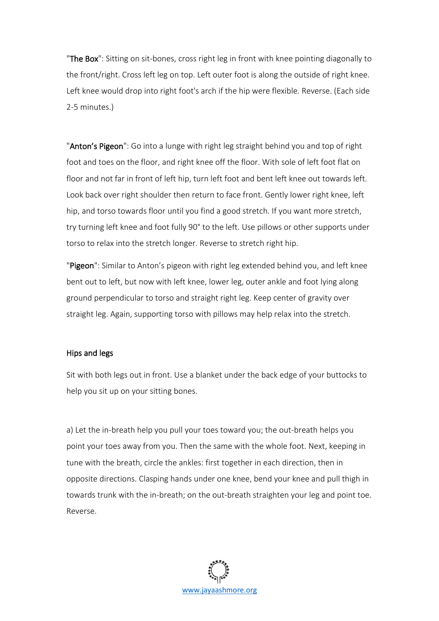"The Box": Sitting on sit-bones, cross right leg in front with knee pointing diagonally to the front/right. Cross left leg on top. Left outer foot is along the outside of right knee. Left knee would drop into right foot's arch if the hip were flexible. Reverse. (Each side 2-5 minutes.)

"Anton's Pigeon": Go into a lunge with right leg straight behind you and top of right foot and toes on the floor, and right knee off the floor. With sole of left foot flat on floor and not far in front of left hip, turn left foot and bent left knee out towards left. Look back over right shoulder then return to face front. Gently lower right knee, left hip, and torso towards floor until you find a good stretch. If you want more stretch, try turning left knee and foot fully 90° to the left. Use pillows or other supports under torso to relax into the stretch longer. Reverse to stretch right hip.

"Pigeon": Similar to Anton's pigeon with right leg extended behind you, and left knee bent out to left, but now with left knee, lower leg, outer ankle and foot lying along ground perpendicular to torso and straight right leg. Keep center of gravity over straight leg. Again, supporting torso with pillows may help relax into the stretch.

## Hips and legs

Sit with both legs out in front. Use a blanket under the back edge of your buttocks to help you sit up on your sitting bones.

a) Let the in-breath help you pull your toes toward you; the out-breath helps you point your toes away from you. Then the same with the whole foot. Next, keeping in tune with the breath, circle the ankles: first together in each direction, then in opposite directions. Clasping hands under one knee, bend your knee and pull thigh in towards trunk with the in-breath; on the out-breath straighten your leg and point toe. Reverse.